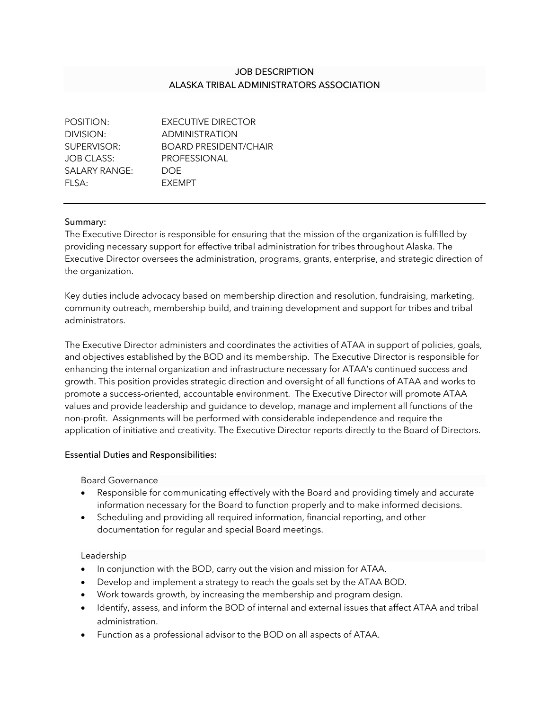# JOB DESCRIPTION ALASKA TRIBAL ADMINISTRATORS ASSOCIATION

| POSITION:         | EXECUTIVE DIRECTOR           |
|-------------------|------------------------------|
| DIVISION:         | <b>ADMINISTRATION</b>        |
| SUPERVISOR:       | <b>BOARD PRESIDENT/CHAIR</b> |
| <b>JOB CLASS:</b> | <b>PROFESSIONAL</b>          |
| SALARY RANGE:     | DOE.                         |
| FI SA:            | <b>FXFMPT</b>                |
|                   |                              |

## Summary:

The Executive Director is responsible for ensuring that the mission of the organization is fulfilled by providing necessary support for effective tribal administration for tribes throughout Alaska. The Executive Director oversees the administration, programs, grants, enterprise, and strategic direction of the organization.

Key duties include advocacy based on membership direction and resolution, fundraising, marketing, community outreach, membership build, and training development and support for tribes and tribal administrators.

The Executive Director administers and coordinates the activities of ATAA in support of policies, goals, and objectives established by the BOD and its membership. The Executive Director is responsible for enhancing the internal organization and infrastructure necessary for ATAA's continued success and growth. This position provides strategic direction and oversight of all functions of ATAA and works to promote a success-oriented, accountable environment. The Executive Director will promote ATAA values and provide leadership and guidance to develop, manage and implement all functions of the non-profit. Assignments will be performed with considerable independence and require the application of initiative and creativity. The Executive Director reports directly to the Board of Directors.

## Essential Duties and Responsibilities:

Board Governance

- Responsible for communicating effectively with the Board and providing timely and accurate information necessary for the Board to function properly and to make informed decisions.
- Scheduling and providing all required information, financial reporting, and other documentation for regular and special Board meetings.

#### Leadership

- In conjunction with the BOD, carry out the vision and mission for ATAA.
- Develop and implement a strategy to reach the goals set by the ATAA BOD.
- Work towards growth, by increasing the membership and program design.
- Identify, assess, and inform the BOD of internal and external issues that affect ATAA and tribal administration.
- Function as a professional advisor to the BOD on all aspects of ATAA.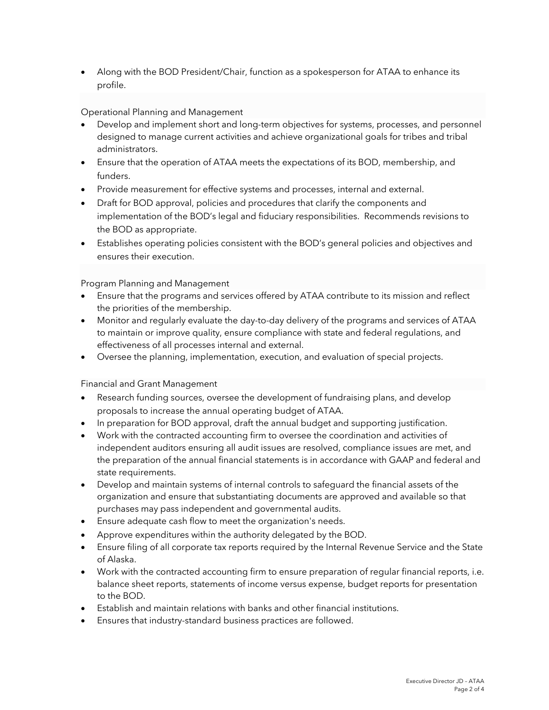• Along with the BOD President/Chair, function as a spokesperson for ATAA to enhance its profile.

Operational Planning and Management

- Develop and implement short and long-term objectives for systems, processes, and personnel designed to manage current activities and achieve organizational goals for tribes and tribal administrators.
- Ensure that the operation of ATAA meets the expectations of its BOD, membership, and funders.
- Provide measurement for effective systems and processes, internal and external.
- Draft for BOD approval, policies and procedures that clarify the components and implementation of the BOD's legal and fiduciary responsibilities. Recommends revisions to the BOD as appropriate.
- Establishes operating policies consistent with the BOD's general policies and objectives and ensures their execution.

Program Planning and Management

- Ensure that the programs and services offered by ATAA contribute to its mission and reflect the priorities of the membership.
- Monitor and regularly evaluate the day-to-day delivery of the programs and services of ATAA to maintain or improve quality, ensure compliance with state and federal regulations, and effectiveness of all processes internal and external.
- Oversee the planning, implementation, execution, and evaluation of special projects.

Financial and Grant Management

- Research funding sources, oversee the development of fundraising plans, and develop proposals to increase the annual operating budget of ATAA.
- In preparation for BOD approval, draft the annual budget and supporting justification.
- Work with the contracted accounting firm to oversee the coordination and activities of independent auditors ensuring all audit issues are resolved, compliance issues are met, and the preparation of the annual financial statements is in accordance with GAAP and federal and state requirements.
- Develop and maintain systems of internal controls to safeguard the financial assets of the organization and ensure that substantiating documents are approved and available so that purchases may pass independent and governmental audits.
- Ensure adequate cash flow to meet the organization's needs.
- Approve expenditures within the authority delegated by the BOD.
- Ensure filing of all corporate tax reports required by the Internal Revenue Service and the State of Alaska.
- Work with the contracted accounting firm to ensure preparation of regular financial reports, i.e. balance sheet reports, statements of income versus expense, budget reports for presentation to the BOD.
- Establish and maintain relations with banks and other financial institutions.
- Ensures that industry-standard business practices are followed.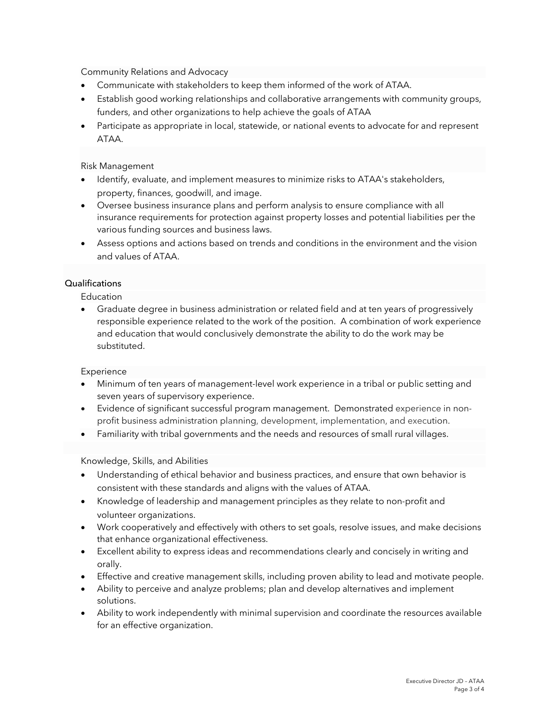Community Relations and Advocacy

- Communicate with stakeholders to keep them informed of the work of ATAA.
- Establish good working relationships and collaborative arrangements with community groups, funders, and other organizations to help achieve the goals of ATAA
- Participate as appropriate in local, statewide, or national events to advocate for and represent ATAA.

Risk Management

- Identify, evaluate, and implement measures to minimize risks to ATAA's stakeholders, property, finances, goodwill, and image.
- Oversee business insurance plans and perform analysis to ensure compliance with all insurance requirements for protection against property losses and potential liabilities per the various funding sources and business laws.
- Assess options and actions based on trends and conditions in the environment and the vision and values of ATAA.

## Qualifications

Education

• Graduate degree in business administration or related field and at ten years of progressively responsible experience related to the work of the position. A combination of work experience and education that would conclusively demonstrate the ability to do the work may be substituted.

**Experience** 

- Minimum of ten years of management-level work experience in a tribal or public setting and seven years of supervisory experience.
- Evidence of significant successful program management. Demonstrated experience in nonprofit business administration planning, development, implementation, and execution.
- Familiarity with tribal governments and the needs and resources of small rural villages.

Knowledge, Skills, and Abilities

- Understanding of ethical behavior and business practices, and ensure that own behavior is consistent with these standards and aligns with the values of ATAA.
- Knowledge of leadership and management principles as they relate to non-profit and volunteer organizations.
- Work cooperatively and effectively with others to set goals, resolve issues, and make decisions that enhance organizational effectiveness.
- Excellent ability to express ideas and recommendations clearly and concisely in writing and orally.
- Effective and creative management skills, including proven ability to lead and motivate people.
- Ability to perceive and analyze problems; plan and develop alternatives and implement solutions.
- Ability to work independently with minimal supervision and coordinate the resources available for an effective organization.